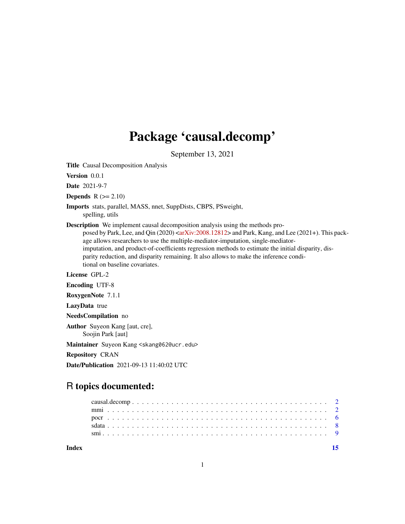## Package 'causal.decomp'

September 13, 2021

Title Causal Decomposition Analysis

Version 0.0.1

Date 2021-9-7

**Depends**  $R$  ( $>= 2.10$ )

Imports stats, parallel, MASS, nnet, SuppDists, CBPS, PSweight, spelling, utils

Description We implement causal decomposition analysis using the methods pro-

posed by Park, Lee, and Qin (2020) [<arXiv:2008.12812>](https://arxiv.org/abs/2008.12812) and Park, Kang, and Lee (2021+). This package allows researchers to use the multiple-mediator-imputation, single-mediatorimputation, and product-of-coefficients regression methods to estimate the initial disparity, disparity reduction, and disparity remaining. It also allows to make the inference conditional on baseline covariates.

License GPL-2

Encoding UTF-8

RoxygenNote 7.1.1

LazyData true

NeedsCompilation no

Author Suyeon Kang [aut, cre], Soojin Park [aut]

Maintainer Suyeon Kang <skang062@ucr.edu>

Repository CRAN

Date/Publication 2021-09-13 11:40:02 UTC

### R topics documented:

**Index** [15](#page-14-0)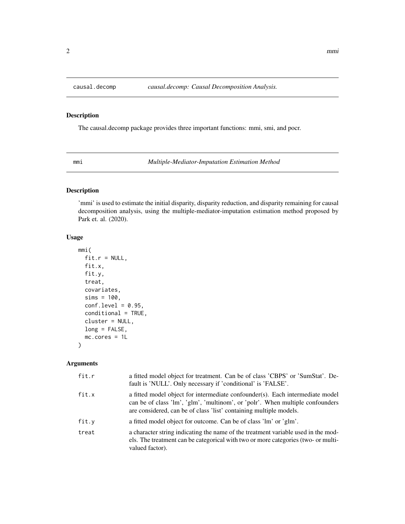<span id="page-1-0"></span>

#### Description

The causal.decomp package provides three important functions: mmi, smi, and pocr.

<span id="page-1-1"></span>mmi *Multiple-Mediator-Imputation Estimation Method*

#### Description

'mmi' is used to estimate the initial disparity, disparity reduction, and disparity remaining for causal decomposition analysis, using the multiple-mediator-imputation estimation method proposed by Park et. al. (2020).

#### Usage

```
mmi(
  fit.r = NULL,fit.x,
 fit.y,
  treat,
  covariates,
  sims = 100,conf. level = 0.95,conditional = TRUE,
  cluster = NULL,
  long = FALSE,
  mc.cores = 1L
)
```
#### Arguments

| fit.r | a fitted model object for treatment. Can be of class 'CBPS' or 'SumStat'. De-<br>fault is 'NULL'. Only necessary if 'conditional' is 'FALSE'.                                                                                        |
|-------|--------------------------------------------------------------------------------------------------------------------------------------------------------------------------------------------------------------------------------------|
| fit.x | a fitted model object for intermediate confounder(s). Each intermediate model<br>can be of class 'lm', 'glm', 'multinom', or 'polr'. When multiple confounders<br>are considered, can be of class 'list' containing multiple models. |
| fit.y | a fitted model object for outcome. Can be of class 'lm' or 'glm'.                                                                                                                                                                    |
| treat | a character string indicating the name of the treatment variable used in the mod-<br>els. The treatment can be categorical with two or more categories (two- or multi-<br>valued factor).                                            |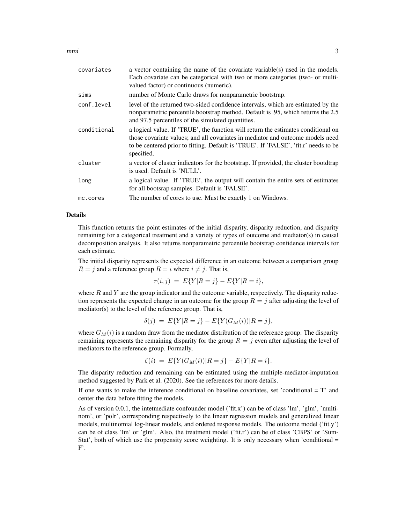$mmin$  3

| covariates  | a vector containing the name of the covariate variable(s) used in the models.<br>Each covariate can be categorical with two or more categories (two- or multi-<br>valued factor) or continuous (numeric).                                                                |
|-------------|--------------------------------------------------------------------------------------------------------------------------------------------------------------------------------------------------------------------------------------------------------------------------|
| sims        | number of Monte Carlo draws for nonparametric bootstrap.                                                                                                                                                                                                                 |
| conf.level  | level of the returned two-sided confidence intervals, which are estimated by the<br>nonparametric percentile bootstrap method. Default is 0.95, which returns the 2.5<br>and 97.5 percentiles of the simulated quantities.                                               |
| conditional | a logical value. If 'TRUE', the function will return the estimates conditional on<br>those covariate values; and all covariates in mediator and outcome models need<br>to be centered prior to fitting. Default is 'TRUE'. If 'FALSE', 'fit.r' needs to be<br>specified. |
| cluster     | a vector of cluster indicators for the bootstrap. If provided, the cluster bootdtrap<br>is used. Default is 'NULL'.                                                                                                                                                      |
| long        | a logical value. If 'TRUE', the output will contain the entire sets of estimates<br>for all bootsrap samples. Default is 'FALSE'.                                                                                                                                        |
| mc.cores    | The number of cores to use. Must be exactly 1 on Windows.                                                                                                                                                                                                                |
|             |                                                                                                                                                                                                                                                                          |

#### Details

This function returns the point estimates of the initial disparity, disparity reduction, and disparity remaining for a categorical treatment and a variety of types of outcome and mediator(s) in causal decomposition analysis. It also returns nonparametric percentile bootstrap confidence intervals for each estimate.

The initial disparity represents the expected difference in an outcome between a comparison group  $R = j$  and a reference group  $R = i$  where  $i \neq j$ . That is,

$$
\tau(i,j) \ = \ E\{Y|R=j\} - E\{Y|R=i\},
$$

where  $R$  and  $Y$  are the group indicator and the outcome variable, respectively. The disparity reduction represents the expected change in an outcome for the group  $R = j$  after adjusting the level of mediator(s) to the level of the reference group. That is,

$$
\delta(j) = E\{Y|R=j\} - E\{Y(G_M(i))|R=j\},\
$$

where  $G_M(i)$  is a random draw from the mediator distribution of the reference group. The disparity remaining represents the remaining disparity for the group  $R = j$  even after adjusting the level of mediators to the reference group. Formally,

$$
\zeta(i) = E\{Y(G_M(i))|R = j\} - E\{Y|R = i\}.
$$

The disparity reduction and remaining can be estimated using the multiple-mediator-imputation method suggested by Park et al. (2020). See the references for more details.

If one wants to make the inference conditional on baseline covariates, set 'conditional  $= T'$  and center the data before fitting the models.

As of version 0.0.1, the intetmediate confounder model ('fit.x') can be of class 'lm', 'glm', 'multinom', or 'polr', corresponding respectively to the linear regression models and generalized linear models, multinomial log-linear models, and ordered response models. The outcome model ('fit.y') can be of class 'lm' or 'glm'. Also, the treatment model ('fit.r') can be of class 'CBPS' or 'Sum-Stat', both of which use the propensity score weighting. It is only necessary when 'conditional = F'.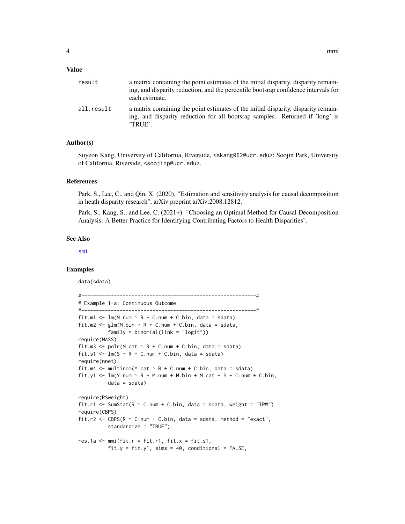#### <span id="page-3-0"></span>Value

| result     | a matrix containing the point estimates of the initial disparity, disparity remain-<br>ing, and disparity reduction, and the percentile bootsrap confidence intervals for<br>each estimate. |
|------------|---------------------------------------------------------------------------------------------------------------------------------------------------------------------------------------------|
| all.result | a matrix containing the point estimates of the initial disparity, disparity remain-<br>ing, and disparity reduction for all bootsrap samples. Returned if 'long' is<br>'TRUE'.              |

#### Author(s)

Suyeon Kang, University of California, Riverside, <skang062@ucr.edu>; Soojin Park, University of California, Riverside, <soojinp@ucr.edu>.

#### References

Park, S., Lee, C., and Qin, X. (2020). "Estimation and sensitivity analysis for causal decomposition in heath disparity research", arXiv preprint arXiv:2008.12812.

Park, S., Kang, S., and Lee, C. (2021+). "Choosing an Optimal Method for Causal Decomposition Analysis: A Better Practice for Identifying Contributing Factors to Health Disparities".

#### See Also

[smi](#page-8-1)

#### Examples

data(sdata)

```
#-----------------------------------------------------------#
# Example 1-a: Continuous Outcome
#-----------------------------------------------------------#
fit.m1 \leq lm(M.num \sim R + C.num + C.bin, data = sdata)
fit.m2 <- glm(M.bin \sim R + C.num + C.bin, data = sdata,
          family = binomial(link = "logit")require(MASS)
fit.m3 <- polr(M.cat \sim R + C.num + C.bin, data = sdata)
fit.s1 <- lm(S \sim R + C.num + C.bin, data = sdata)require(nnet)
fit.m4 \leq multinom(M.cat \sim R + C.num + C.bin, data = sdata)
fit.y1 \leq lm(Y.num \sim R + M.num + M.bin + M.cat + S + C.num + C.bin,
          data = sdata)
require(PSweight)
fit.r1 <- SumStat(R \sim C.num + C.bin, data = sdata, weight = "IPW")
require(CBPS)
fit.r2 <- CBPS(R \sim C.num + C.bin, data = sdata, method = "exact",
          standardize = "TRUE")
res.1a \leq mmi(fit.r = fit.r1, fit.x = fit.s1,
          fit.y = fit.y1, sims = 40, conditional = FALSE,
```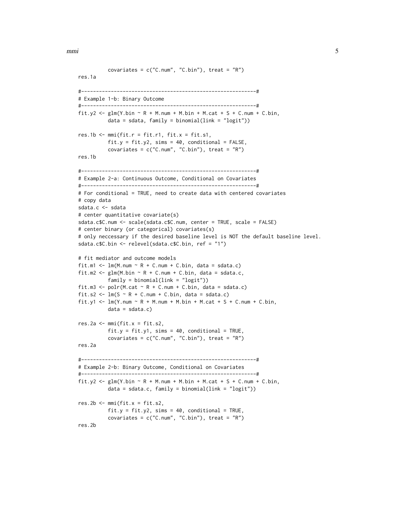mmi 5

```
covariates = c("C.num", "C.bin"), treat = "R")res.1a
#-----------------------------------------------------------#
# Example 1-b: Binary Outcome
#-----------------------------------------------------------#
fit.y2 <- glm(Y.bin \sim R + M.num + M.bin + M.cat + S + C.num + C.bin,data = sdata, family = binomial(link = "logit"))
res.1b \leq mmi(fit.r = fit.r1, fit.x = fit.s1,
          fit.y = fit.y2, sims = 40, conditional = FALSE,
          covariates = c("C.num", "C.bin"), treat = "R")res.1b
#-----------------------------------------------------------#
# Example 2-a: Continuous Outcome, Conditional on Covariates
#-----------------------------------------------------------#
# For conditional = TRUE, need to create data with centered covariates
# copy data
sdata.c <- sdata
# center quantitative covariate(s)
sdata.c$C.num <- scale(sdata.c$C.num, center = TRUE, scale = FALSE)
# center binary (or categorical) covariates(s)
# only neccessary if the desired baseline level is NOT the default baseline level.
sdata.c$C.bin <- relevel(sdata.c$C.bin, ref = "1")
# fit mediator and outcome models
fit.m1 <- lm(M.num \sim R + C.num + C.bin, data = sdata.c)fit.m2 <- glm(M.bin ~ R + C.num + C.bin, data = sdata.c,family = binomial(link = "logit"))
fit.m3 <- polr(M.cat \sim R + C.num + C.bin, data = sdata.c)
fit.s2 <- lm(S \sim R + C.num + C.bin, data = sdata.c)fit.y1 <- lm(Y.num \sim R + M.num + M.bin + M.cat + S + C.num + C.bin,data = sdata.c)res.2a \leq mmi(fit.x = fit.s2,
          fit.y = fit.y1, sims = 40, conditional = TRUE,
          covariates = c("C.num", "C.bin"), treat = "R")
res.2a
#-----------------------------------------------------------#
# Example 2-b: Binary Outcome, Conditional on Covariates
#-----------------------------------------------------------#
fit.y2 <- glm(Y.bin ~ R + M.num + M.bin + M.cat + S + C.num + C.bin,data = sdata.c, family = binomial(link = "logit"))
res.2b \leq mmi(fit.x = fit.s2,
          fit.y = fit.y2, sims = 40, conditional = TRUE,
          covariates = c("C.num", "C.bin"), treat = "R")
res.2b
```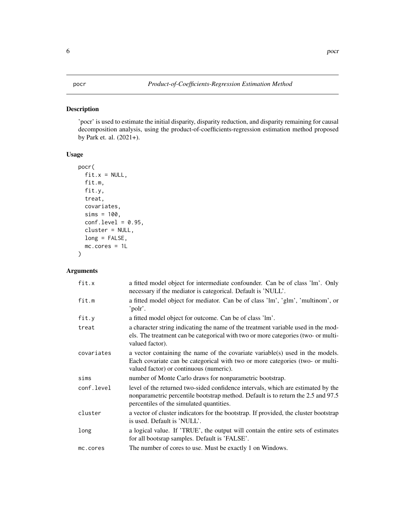#### <span id="page-5-0"></span>Description

'pocr' is used to estimate the initial disparity, disparity reduction, and disparity remaining for causal decomposition analysis, using the product-of-coefficients-regression estimation method proposed by Park et. al. (2021+).

#### Usage

```
pocr(
  fit.x = NULL,fit.m,
 fit.y,
  treat,
  covariates,
  sims = 100,conf.level = 0.95,cluster = NULL,
 long = FALSE,
 mc.cores = 1L
)
```
#### Arguments

| fit.x      | a fitted model object for intermediate confounder. Can be of class 'lm'. Only<br>necessary if the mediator is categorical. Default is 'NULL'.                                                                    |
|------------|------------------------------------------------------------------------------------------------------------------------------------------------------------------------------------------------------------------|
| fit.m      | a fitted model object for mediator. Can be of class 'lm', 'glm', 'multinom', or<br>'polr'.                                                                                                                       |
| fit.y      | a fitted model object for outcome. Can be of class 'lm'.                                                                                                                                                         |
| treat      | a character string indicating the name of the treatment variable used in the mod-<br>els. The treatment can be categorical with two or more categories (two- or multi-<br>valued factor).                        |
| covariates | a vector containing the name of the covariate variable(s) used in the models.<br>Each covariate can be categorical with two or more categories (two- or multi-<br>valued factor) or continuous (numeric).        |
| sims       | number of Monte Carlo draws for nonparametric bootstrap.                                                                                                                                                         |
| conf.level | level of the returned two-sided confidence intervals, which are estimated by the<br>nonparametric percentile bootstrap method. Default is to return the 2.5 and 97.5<br>percentiles of the simulated quantities. |
| cluster    | a vector of cluster indicators for the bootstrap. If provided, the cluster bootstrap<br>is used. Default is 'NULL'.                                                                                              |
| long       | a logical value. If 'TRUE', the output will contain the entire sets of estimates<br>for all bootsrap samples. Default is 'FALSE'.                                                                                |
| mc.cores   | The number of cores to use. Must be exactly 1 on Windows.                                                                                                                                                        |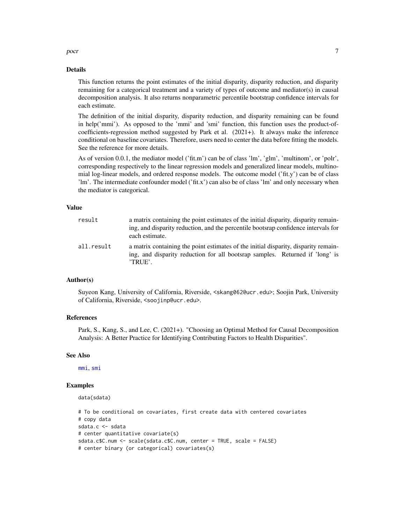<span id="page-6-0"></span>pocr  $\overline{7}$ 

#### Details

This function returns the point estimates of the initial disparity, disparity reduction, and disparity remaining for a categorical treatment and a variety of types of outcome and mediator(s) in causal decomposition analysis. It also returns nonparametric percentile bootstrap confidence intervals for each estimate.

The definition of the initial disparity, disparity reduction, and disparity remaining can be found in help('mmi'). As opposed to the 'mmi' and 'smi' function, this function uses the product-ofcoefficients-regression method suggested by Park et al.  $(2021+)$ . It always make the inference conditional on baseline covariates. Therefore, users need to center the data before fitting the models. See the reference for more details.

As of version 0.0.1, the mediator model ('fit.m') can be of class 'lm', 'glm', 'multinom', or 'polr', corresponding respectively to the linear regression models and generalized linear models, multinomial log-linear models, and ordered response models. The outcome model ('fit.y') can be of class 'lm'. The intermediate confounder model ('fit.x') can also be of class 'lm' and only necessary when the mediator is categorical.

#### Value

| result     | a matrix containing the point estimates of the initial disparity, disparity remain-<br>ing, and disparity reduction, and the percentile bootsrap confidence intervals for<br>each estimate. |
|------------|---------------------------------------------------------------------------------------------------------------------------------------------------------------------------------------------|
| all.result | a matrix containing the point estimates of the initial disparity, disparity remain-<br>ing, and disparity reduction for all bootsrap samples. Returned if 'long' is<br>'TRUE'.              |

#### Author(s)

Suyeon Kang, University of California, Riverside, <skang062@ucr.edu>; Soojin Park, University of California, Riverside, <soojinp@ucr.edu>.

#### References

Park, S., Kang, S., and Lee, C. (2021+). "Choosing an Optimal Method for Causal Decomposition Analysis: A Better Practice for Identifying Contributing Factors to Health Disparities".

#### See Also

[mmi](#page-1-1), [smi](#page-8-1)

#### Examples

data(sdata)

```
# To be conditional on covariates, first create data with centered covariates
# copy data
sdata.c <- sdata
# center quantitative covariate(s)
sdata.c$C.num <- scale(sdata.c$C.num, center = TRUE, scale = FALSE)
# center binary (or categorical) covariates(s)
```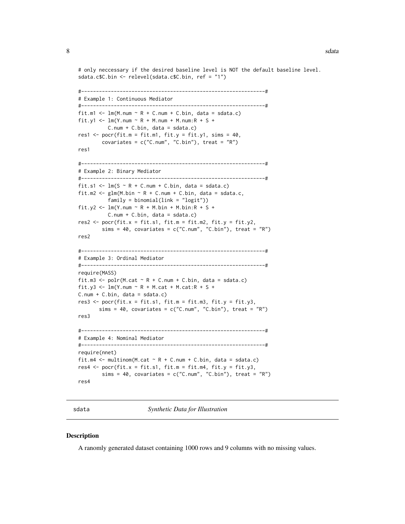<span id="page-7-0"></span># only neccessary if the desired baseline level is NOT the default baseline level. sdata.c\$C.bin <- relevel(sdata.c\$C.bin, ref = "1")

```
#--------------------------------------------------------------#
# Example 1: Continuous Mediator
#--------------------------------------------------------------#
fit.m1 \leq lm(M.num \sim R + C.num + C.bin, data = sdata.c)
fit.y1 <- lm(Y.num \sim R + M.num + M.num:R + S +C.num + C.bin, data = sdata.c)
res1 \leq pocr(fit.m = fit.m1, fit.y = fit.y1, sims = 40,
        covariates = c("C.num", "C.bin"), treat = "R")res1
#--------------------------------------------------------------#
# Example 2: Binary Mediator
#--------------------------------------------------------------#
fit.s1 <- lm(S \sim R + C.num + C.bin, data = sdata.c)fit.m2 <- glm(M.bin \sim R + C.num + C.bin, data = sdata.c,family = binomial(link = "logit")fit.y2 <- lm(Y.num \sim R + M.bin + M.bin:R + S +C.num + C.bin, data = sdata.c)
res2 <- pocr(fit.x = fit.s1, fit.m = fit.m2, fit.y = fit.y2,
        sims = 40, covariates = c("C.num", "C.bin"), treat = "R")res2
#--------------------------------------------------------------#
# Example 3: Ordinal Mediator
#--------------------------------------------------------------#
require(MASS)
fit.m3 <- polr(M.cat \sim R + C.num + C.bin, data = sdata.c)fit.y3 <- lm(Y.num \sim R + M.cat + M.cat:R + S +C.num + C.bin, data = sdata.c)
res3 \leq pocr(fit.x = fit.s1, fit.m = fit.m3, fit.y = fit.y3,
       sims = 40, covariates = c("C.num", "C.bin"), treat = "R")
res3
#--------------------------------------------------------------#
# Example 4: Nominal Mediator
#--------------------------------------------------------------#
require(nnet)
fit.m4 \leq multinom(M.cat \sim R + C.num + C.bin, data = sdata.c)
res4 \leq pocr(fit.x = fit.s1, fit.m = fit.m4, fit.y = fit.y3,
        sims = 40, covariates = c("C.num", "C.bin"), treat = "R")res4
```
sdata *Synthetic Data for Illustration*

#### **Description**

A ranomly generated dataset containing 1000 rows and 9 columns with no missing values.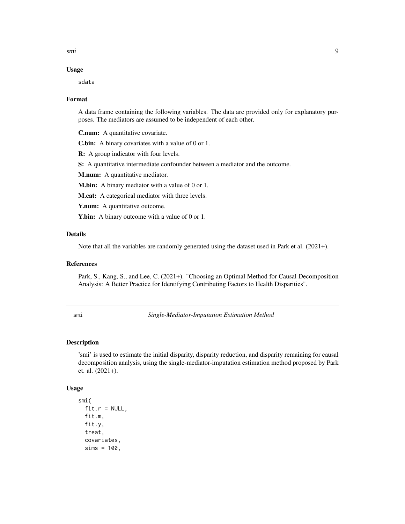<span id="page-8-0"></span>smi 9

#### Usage

sdata

#### Format

A data frame containing the following variables. The data are provided only for explanatory purposes. The mediators are assumed to be independent of each other.

C.num: A quantitative covariate.

C.bin: A binary covariates with a value of 0 or 1.

R: A group indicator with four levels.

S: A quantitative intermediate confounder between a mediator and the outcome.

M.num: A quantitative mediator.

M.bin: A binary mediator with a value of 0 or 1.

M.cat: A categorical mediator with three levels.

Y.num: A quantitative outcome.

**Y.bin:** A binary outcome with a value of 0 or 1.

#### Details

Note that all the variables are randomly generated using the dataset used in Park et al. (2021+).

#### References

Park, S., Kang, S., and Lee, C. (2021+). "Choosing an Optimal Method for Causal Decomposition Analysis: A Better Practice for Identifying Contributing Factors to Health Disparities".

<span id="page-8-1"></span>smi *Single-Mediator-Imputation Estimation Method*

#### Description

'smi' is used to estimate the initial disparity, disparity reduction, and disparity remaining for causal decomposition analysis, using the single-mediator-imputation estimation method proposed by Park et. al. (2021+).

#### Usage

```
smi(
  fit.r = NULL,fit.m,
  fit.y,
  treat,
  covariates,
  sims = 100,
```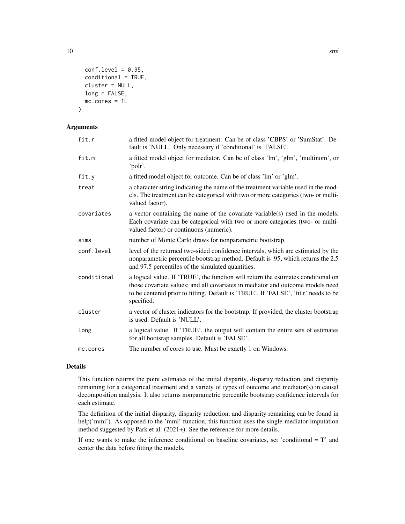```
conf. level = 0.95,
  conditional = TRUE,
 cluster = NULL,
 long = FALSE,
 mc.cores = 1L
)
```
#### Arguments

| fit.r       | a fitted model object for treatment. Can be of class 'CBPS' or 'SumStat'. De-<br>fault is 'NULL'. Only necessary if 'conditional' is 'FALSE'.                                                                                                                            |
|-------------|--------------------------------------------------------------------------------------------------------------------------------------------------------------------------------------------------------------------------------------------------------------------------|
| fit.m       | a fitted model object for mediator. Can be of class 'lm', 'glm', 'multinom', or<br>'polr'.                                                                                                                                                                               |
| fit.y       | a fitted model object for outcome. Can be of class 'lm' or 'glm'.                                                                                                                                                                                                        |
| treat       | a character string indicating the name of the treatment variable used in the mod-<br>els. The treatment can be categorical with two or more categories (two- or multi-<br>valued factor).                                                                                |
| covariates  | a vector containing the name of the covariate variable(s) used in the models.<br>Each covariate can be categorical with two or more categories (two- or multi-<br>valued factor) or continuous (numeric).                                                                |
| sims        | number of Monte Carlo draws for nonparametric bootstrap.                                                                                                                                                                                                                 |
| conf.level  | level of the returned two-sided confidence intervals, which are estimated by the<br>nonparametric percentile bootstrap method. Default is .95, which returns the 2.5<br>and 97.5 percentiles of the simulated quantities.                                                |
| conditional | a logical value. If 'TRUE', the function will return the estimates conditional on<br>those covariate values; and all covariates in mediator and outcome models need<br>to be centered prior to fitting. Default is 'TRUE'. If 'FALSE', 'fit.r' needs to be<br>specified. |
| cluster     | a vector of cluster indicators for the bootstrap. If provided, the cluster bootstrap<br>is used. Default is 'NULL'.                                                                                                                                                      |
| long        | a logical value. If 'TRUE', the output will contain the entire sets of estimates<br>for all bootsrap samples. Default is 'FALSE'.                                                                                                                                        |
| mc.cores    | The number of cores to use. Must be exactly 1 on Windows.                                                                                                                                                                                                                |

#### Details

This function returns the point estimates of the initial disparity, disparity reduction, and disparity remaining for a categorical treatment and a variety of types of outcome and mediator(s) in causal decomposition analysis. It also returns nonparametric percentile bootstrap confidence intervals for each estimate.

The definition of the initial disparity, disparity reduction, and disparity remaining can be found in help('mmi'). As opposed to the 'mmi' function, this function uses the single-mediator-imputation method suggested by Park et al. (2021+). See the reference for more details.

If one wants to make the inference conditional on baseline covariates, set 'conditional  $= T'$  and center the data before fitting the models.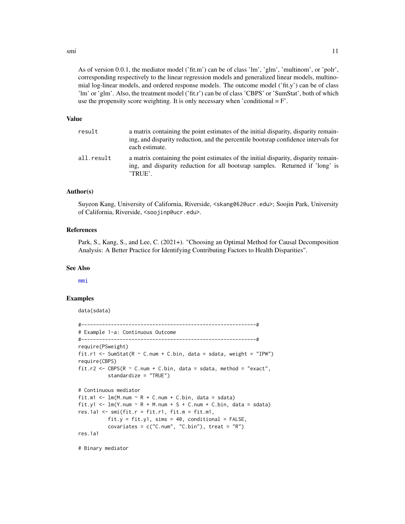<span id="page-10-0"></span>smi and the state of the state of the state of the state of the state of the state of the state of the state of the state of the state of the state of the state of the state of the state of the state of the state of the st

As of version 0.0.1, the mediator model ('fit.m') can be of class 'lm', 'glm', 'multinom', or 'polr', corresponding respectively to the linear regression models and generalized linear models, multinomial log-linear models, and ordered response models. The outcome model  $(\hat{f}it,v')$  can be of class 'lm' or 'glm'. Also, the treatment model ('fit.r') can be of class 'CBPS' or 'SumStat', both of which use the propensity score weighting. It is only necessary when 'conditional  $= F'$ .

#### Value

| result     | a matrix containing the point estimates of the initial disparity, disparity remain-<br>ing, and disparity reduction, and the percentile bootsrap confidence intervals for<br>each estimate. |
|------------|---------------------------------------------------------------------------------------------------------------------------------------------------------------------------------------------|
| all.result | a matrix containing the point estimates of the initial disparity, disparity remain-<br>ing, and disparity reduction for all bootsrap samples. Returned if 'long' is<br>'TRUE'.              |

#### Author(s)

Suyeon Kang, University of California, Riverside, <skang062@ucr.edu>; Soojin Park, University of California, Riverside, <soojinp@ucr.edu>.

#### References

Park, S., Kang, S., and Lee, C. (2021+). "Choosing an Optimal Method for Causal Decomposition Analysis: A Better Practice for Identifying Contributing Factors to Health Disparities".

#### See Also

[mmi](#page-1-1)

#### Examples

data(sdata)

```
#-----------------------------------------------------------#
# Example 1-a: Continuous Outcome
#-----------------------------------------------------------#
require(PSweight)
fit.r1 <- SumStat(R \sim C.num + C.bin, data = sdata, weight = "IPW")
require(CBPS)
fit.r2 <- CBPS(R \sim C.num + C.bin, data = sdata, method = "exact",
          standardize = "TRUE")
# Continuous mediator
fit.m1 <- lm(M.num \sim R + C.num + C.bin, data = sdata)fit.y1 <- lm(Y.num \sim R + M.num + S + C.num + C.bin, data = sdata)res.1a1 \leq smi(fit.r = fit.r1, fit.m = fit.m1,
          fit.y = fit.y1, sim s = 40, conditional = FALSE,
          covariates = c("C.num", "C.bin"), treat = "R")res.1a1
```
# Binary mediator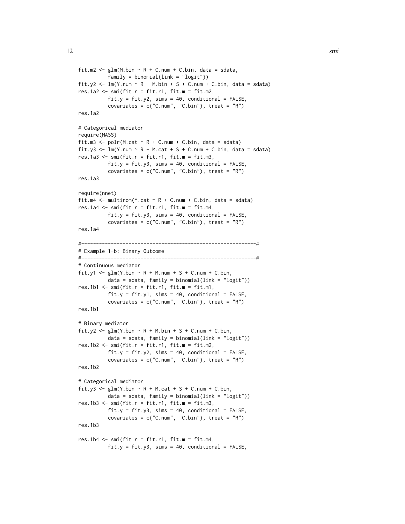```
fit.m2 <- glm(M.bin \sim R + C.num + C.bin, data = sdata,
          family = binomial(link = "logit"))
fit.y2 <- lm(Y.num \sim R + M.bin + S + C.num + C.bin, data = sdata)res.1a2 \leq smi(fit.r = fit.r1, fit.m = fit.m2,
          fit.y = fit.y2, sims = 40, conditional = FALSE,
          covariates = c("C.num", "C.bin"), \text{treat} = "R")res.1a2
# Categorical mediator
require(MASS)
fit.m3 <- polr(M.cat \sim R + C.num + C.bin, data = sdata)
fit.y3 <- lm(Y.num \sim R + M.cat + S + C.num + C.bin, data = sdata)res.1a3 \leq smi(fit.r = fit.r1, fit.m = fit.m3,
          fit.y = fit.y3, sims = 40, conditional = FALSE,
          covariates = c("C.num", "C.bin"), \text{treat} = "R")res.1a3
require(nnet)
fit.m4 \leq multinom(M.cat \sim R + C.num + C.bin, data = sdata)
res.1a4 \leq smi(fit.r = fit.r1, fit.m = fit.m4,
          fit.y = fit.y3, sims = 40, conditional = FALSE,
          covariates = c("C.num", "C.bin"), \text{treat} = "R")res.1a4
#-----------------------------------------------------------#
# Example 1-b: Binary Outcome
#-----------------------------------------------------------#
# Continuous mediator
fit.y1 <- glm(Y.bin ~ R + M.num + S + C.num + C.bin,data = sdata, family = binomial(link = "logit"))
res.1b1 \leq smi(fit.r = fit.r1, fit.m = fit.m1,
          fit.y = fit.y1, sims = 40, conditional = FALSE,
          covariates = c("C.num", "C.bin"), treat = "R")res.1b1
# Binary mediator
fit.y2 <- glm(Y.bin ~ R + M.bin + S + C.num + C.bin,data = sdata, family = binomial(link = "logit"))
res.1b2 \leq smi(fit.r = fit.r1, fit.m = fit.m2,
          fit.y = fit.y2, sims = 40, conditional = FALSE,
          covariates = c("C.num", "C.bin"), \text{treat} = "R")res.1b2
# Categorical mediator
fit.y3 <- glm(Y.bin \sim R + M.cat + S + C.num + C.bin,data = sdata, family = binomial(link = "logit"))
res.1b3 \leq smi(fit.r = fit.r1, fit.m = fit.m3,
          fit.y = fit.y3, sims = 40, conditional = FALSE,
          covariates = c("C.num", "C.bin"), treat = "R")res.1b3
res.1b4 \leq smi(fit.r = fit.r1, fit.m = fit.m4,
```

```
fit.y = fit.y3, sims = 40, conditional = FALSE,
```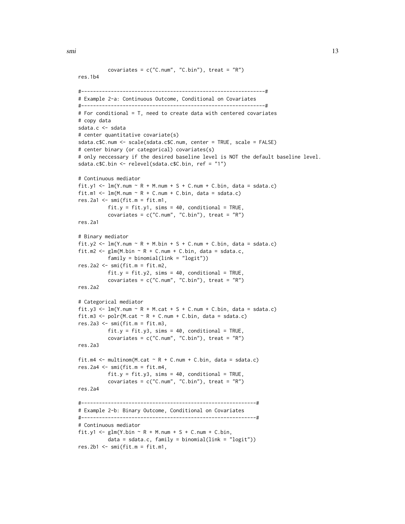smi and the state of the state of the state of the state of the state of the state of the state of the state of the state of the state of the state of the state of the state of the state of the state of the state of the st

```
covariates = c("C.num", "C.bin"), treat = "R")res.1b4
#--------------------------------------------------------------#
# Example 2-a: Continuous Outcome, Conditional on Covariates
#--------------------------------------------------------------#
# For conditional = T, need to create data with centered covariates
# copy data
sdata.c <- sdata
# center quantitative covariate(s)
sdata.c$C.num <- scale(sdata.c$C.num, center = TRUE, scale = FALSE)
# center binary (or categorical) covariates(s)
# only neccessary if the desired baseline level is NOT the default baseline level.
sdata.c$C.bin <- relevel(sdata.c$C.bin, ref = "1")
# Continuous mediator
fit.y1 <- lm(Y.num \sim R + M.num + S + C.num + C.bin, data = sdata.c)fit.m1 <- lm(M.num \sim R + C.num + C.bin, data = sdata.c)res.2a1 \leq smi(fit.m = fit.m1,
          fit.y = fit.y1, sims = 40, conditional = TRUE,
          covariates = c("C.num", "C.bin"), treat = "R")
res.2a1
# Binary mediator
fit.y2 <- lm(Y.num \sim R + M.bin + S + C.num + C.bin, data = sdata.c)fit.m2 <- glm(M.bin \sim R + C.num + C.bin, data = sdata.c,family = binomial(link = "logit")res.2a2 \leq smi(fit.m = fit.m2,
          fit.y = fit.y2, sims = 40, conditional = TRUE,
          covariates = c("C.num", "C.bin"), \text{treat} = "R")res.2a2
# Categorical mediator
fit.y3 <- lm(Y.num \sim R + M.cat + S + C.num + C.bin, data = sdata.c)fit.m3 <- polr(M.cat \sim R + C.num + C.bin, data = sdata.c)
res.2a3 <- smi(fit.m = fit.m3,
          fit.y = fit.y3, sims = 40, conditional = TRUE,
          covariates = c("C.num", "C.bin"), treat = "R")
res.2a3
fit.m4 \leq multinom(M.cat \sim R + C.num + C.bin, data = sdata.c)
res.2a4 \leq smi(fit.m = fit.m4,
          fit.y = fit.y3, sims = 40, conditional = TRUE,
          covariates = c("C.num", "C.bin"), \text{treat} = "R")res.2a4
#-----------------------------------------------------------#
# Example 2-b: Binary Outcome, Conditional on Covariates
#-----------------------------------------------------------#
# Continuous mediator
fit.y1 <- glm(Y.bin \sim R + M.num + S + C.num + C.bin,data = sdata.c, family = binomial(link = "logit"))
res.2b1 \leq -smifit.m = fit.m1,
```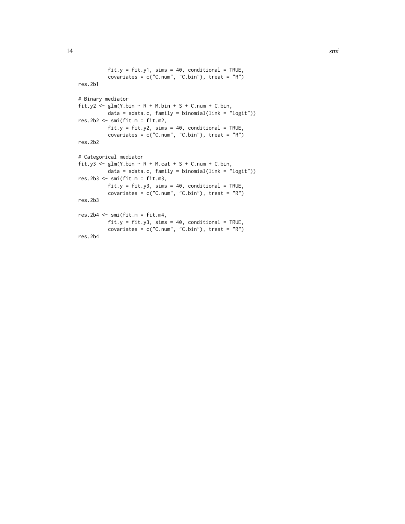```
fit.y = fit.y1, sims = 40, conditional = TRUE,
         covariates = c("C.num", "C.bin"), treat = "R")res.2b1
# Binary mediator
fit.y2 <- glm(Y.bin ~ R + M.bin + S + C.num + C.bin,data = sdata.c, family = binomial(link = "logit"))
res.2b2 <- smi(fit.m = fit.m2,
         fit.y = fit.y2, sims = 40, conditional = TRUE,
          covariates = c("C.num", "C.bin"), treat = "R")
res.2b2
# Categorical mediator
fit.y3 <- glm(Y.bin ~ R + M.cat + S + C.num + C.bin,data = sdata.c, family = binomial(link = "logit"))
res.2b3 <- smi(fit.m = fit.m3,
         fit.y = fit.y3, sims = 40, conditional = TRUE,
          covariates = c("C.num", "C.bin"), treat = "R")res.2b3
res.2b4 <- smi(fit.m = fit.m4,
         fit.y = fit.y3, sims = 40, conditional = TRUE,
         covariates = c("C.num", "C.bin"), treat = "R")res.2b4
```